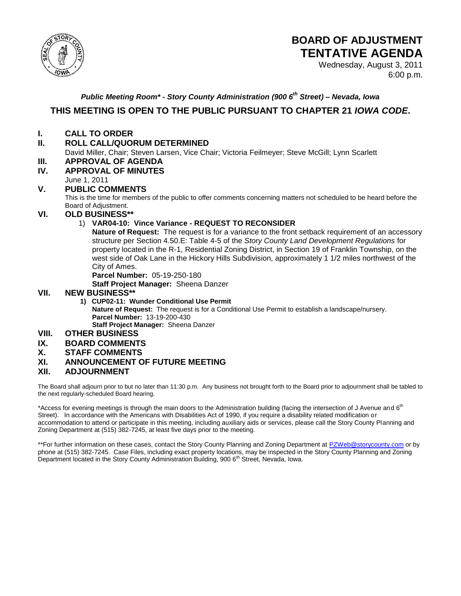

# **BOARD OF ADJUSTMENT TENTATIVE AGENDA**

Wednesday, August 3, 2011 6:00 p.m.

## *Public Meeting Room\* - Story County Administration (900 6th Street) – Nevada, Iowa*

## **THIS MEETING IS OPEN TO THE PUBLIC PURSUANT TO CHAPTER 21** *IOWA CODE***.**

### **I. CALL TO ORDER**

## **II. ROLL CALL/QUORUM DETERMINED**

David Miller, Chair; Steven Larsen, Vice Chair; Victoria Feilmeyer; Steve McGill; Lynn Scarlett

# **III. APPROVAL OF AGENDA**

**IV. APPROVAL OF MINUTES** 

#### June 1, 2011

#### **V. PUBLIC COMMENTS**

This is the time for members of the public to offer comments concerning matters not scheduled to be heard before the Board of Adjustment.

#### **VI. OLD BUSINESS\*\***

### 1) **VAR04-10: Vince Variance - REQUEST TO RECONSIDER**

**Nature of Request:** The request is for a variance to the front setback requirement of an accessory structure per Section 4.50.E: Table 4-5 of the *Story County Land Development Regulations* for property located in the R-1, Residential Zoning District, in Section 19 of Franklin Township, on the west side of Oak Lane in the Hickory Hills Subdivision, approximately 1 1/2 miles northwest of the City of Ames.

**Parcel Number:** 05-19-250-180

**Staff Project Manager:** Sheena Danzer

#### **VII. NEW BUSINESS\*\***

 **1) CUP02-11: Wunder Conditional Use Permit Nature of Request:** The request is for a Conditional Use Permit to establish a landscape/nursery. **Parcel Number:** 13-19-200-430 **Staff Project Manager:** Sheena Danzer

### **VIII. OTHER BUSINESS**

#### **IX. BOARD COMMENTS**

#### **X. STAFF COMMENTS**

#### **XI. ANNOUNCEMENT OF FUTURE MEETING**

#### **XII. ADJOURNMENT**

The Board shall adjourn prior to but no later than 11:30 p.m. Any business not brought forth to the Board prior to adjournment shall be tabled to the next regularly-scheduled Board hearing.

\*Access for evening meetings is through the main doors to the Administration building (facing the intersection of J Avenue and 6<sup>th</sup> Street). In accordance with the Americans with Disabilities Act of 1990, if you require a disability related modification or accommodation to attend or participate in this meeting, including auxiliary aids or services, please call the Story County Planning and Zoning Department at (515) 382-7245, at least five days prior to the meeting.

\*\*For further information on these cases, contact the Story County Planning and Zoning Department at [PZWeb@storycounty.com](mailto:PZWeb@storycounty.com) or by phone at (515) 382-7245. Case Files, including exact property locations, may be inspected in the Story County Planning and Zoning Department located in the Story County Administration Building, 900 6<sup>th</sup> Street, Nevada, Iowa.